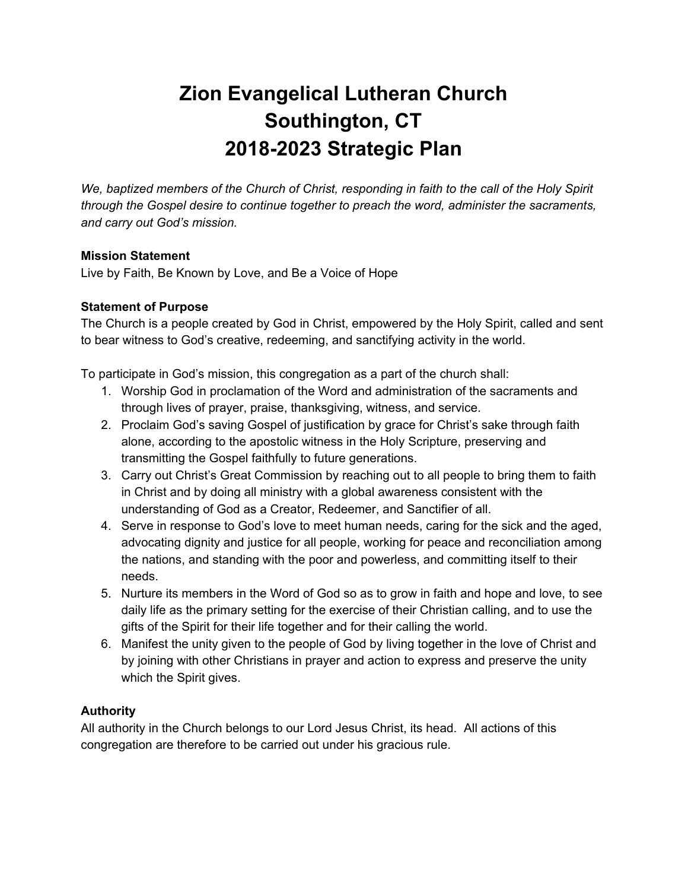# **Zion Evangelical Lutheran Church Southington, CT 2018-2023 Strategic Plan**

*We, baptized members of the Church of Christ, responding in faith to the call of the Holy Spirit through the Gospel desire to continue together to preach the word, administer the sacraments, and carry out God's mission.*

# **Mission Statement**

Live by Faith, Be Known by Love, and Be a Voice of Hope

# **Statement of Purpose**

The Church is a people created by God in Christ, empowered by the Holy Spirit, called and sent to bear witness to God's creative, redeeming, and sanctifying activity in the world.

To participate in God's mission, this congregation as a part of the church shall:

- 1. Worship God in proclamation of the Word and administration of the sacraments and through lives of prayer, praise, thanksgiving, witness, and service.
- 2. Proclaim God's saving Gospel of justification by grace for Christ's sake through faith alone, according to the apostolic witness in the Holy Scripture, preserving and transmitting the Gospel faithfully to future generations.
- 3. Carry out Christ's Great Commission by reaching out to all people to bring them to faith in Christ and by doing all ministry with a global awareness consistent with the understanding of God as a Creator, Redeemer, and Sanctifier of all.
- 4. Serve in response to God's love to meet human needs, caring for the sick and the aged, advocating dignity and justice for all people, working for peace and reconciliation among the nations, and standing with the poor and powerless, and committing itself to their needs.
- 5. Nurture its members in the Word of God so as to grow in faith and hope and love, to see daily life as the primary setting for the exercise of their Christian calling, and to use the gifts of the Spirit for their life together and for their calling the world.
- 6. Manifest the unity given to the people of God by living together in the love of Christ and by joining with other Christians in prayer and action to express and preserve the unity which the Spirit gives.

# **Authority**

All authority in the Church belongs to our Lord Jesus Christ, its head. All actions of this congregation are therefore to be carried out under his gracious rule.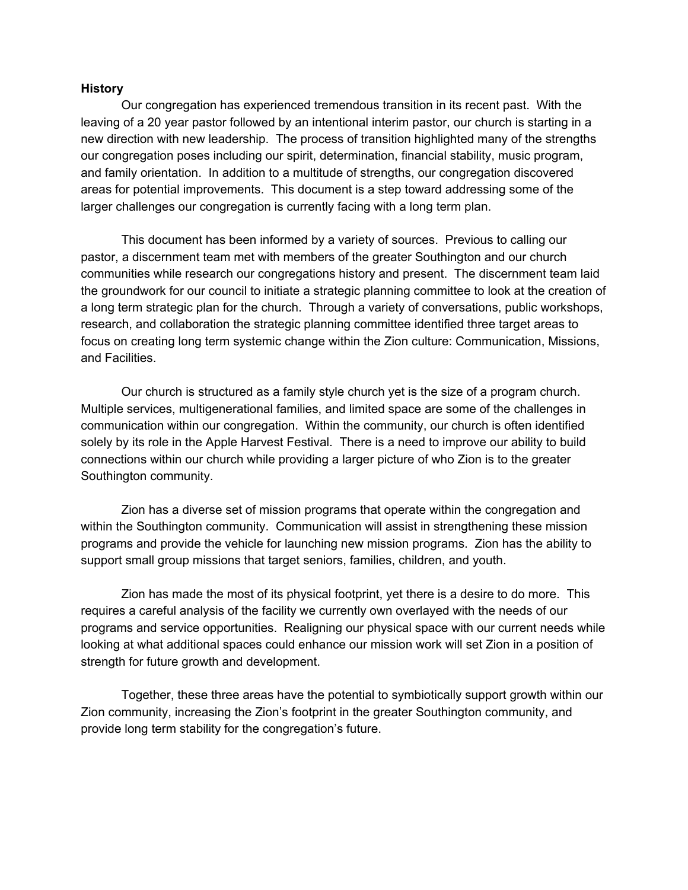#### **History**

Our congregation has experienced tremendous transition in its recent past. With the leaving of a 20 year pastor followed by an intentional interim pastor, our church is starting in a new direction with new leadership. The process of transition highlighted many of the strengths our congregation poses including our spirit, determination, financial stability, music program, and family orientation. In addition to a multitude of strengths, our congregation discovered areas for potential improvements. This document is a step toward addressing some of the larger challenges our congregation is currently facing with a long term plan.

This document has been informed by a variety of sources. Previous to calling our pastor, a discernment team met with members of the greater Southington and our church communities while research our congregations history and present. The discernment team laid the groundwork for our council to initiate a strategic planning committee to look at the creation of a long term strategic plan for the church. Through a variety of conversations, public workshops, research, and collaboration the strategic planning committee identified three target areas to focus on creating long term systemic change within the Zion culture: Communication, Missions, and Facilities.

Our church is structured as a family style church yet is the size of a program church. Multiple services, multigenerational families, and limited space are some of the challenges in communication within our congregation. Within the community, our church is often identified solely by its role in the Apple Harvest Festival. There is a need to improve our ability to build connections within our church while providing a larger picture of who Zion is to the greater Southington community.

Zion has a diverse set of mission programs that operate within the congregation and within the Southington community. Communication will assist in strengthening these mission programs and provide the vehicle for launching new mission programs. Zion has the ability to support small group missions that target seniors, families, children, and youth.

Zion has made the most of its physical footprint, yet there is a desire to do more. This requires a careful analysis of the facility we currently own overlayed with the needs of our programs and service opportunities. Realigning our physical space with our current needs while looking at what additional spaces could enhance our mission work will set Zion in a position of strength for future growth and development.

Together, these three areas have the potential to symbiotically support growth within our Zion community, increasing the Zion's footprint in the greater Southington community, and provide long term stability for the congregation's future.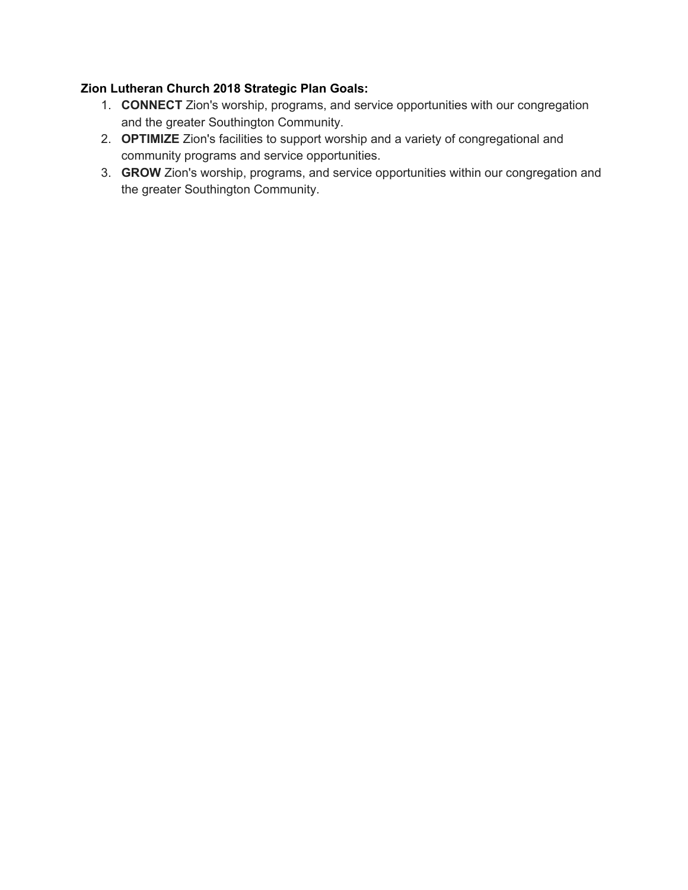# **Zion Lutheran Church 2018 Strategic Plan Goals:**

- 1. **CONNECT** Zion's worship, programs, and service opportunities with our congregation and the greater Southington Community.
- 2. **OPTIMIZE** Zion's facilities to support worship and a variety of congregational and community programs and service opportunities.
- 3. **GROW** Zion's worship, programs, and service opportunities within our congregation and the greater Southington Community.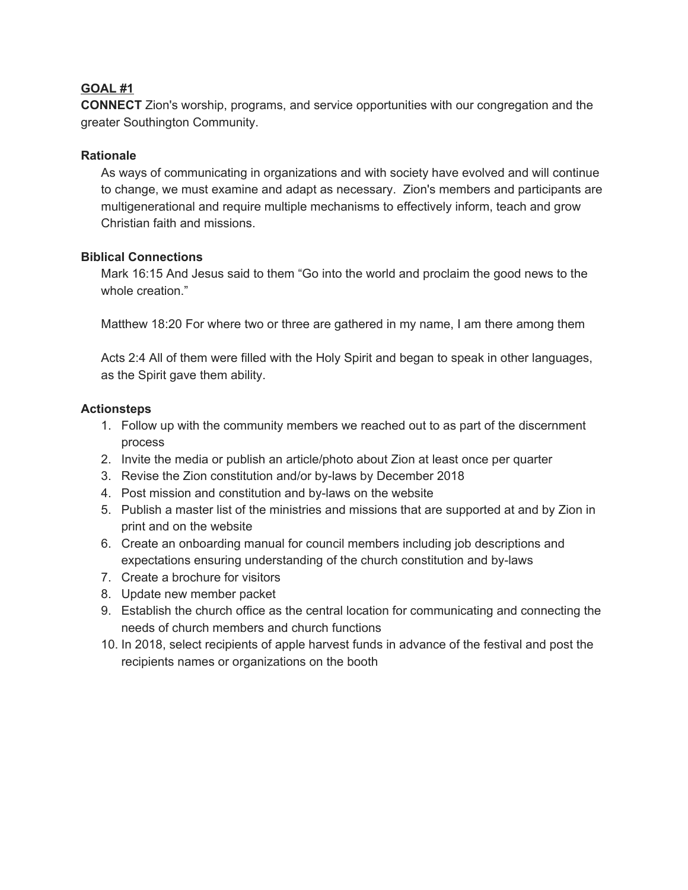# **GOAL #1**

**CONNECT** Zion's worship, programs, and service opportunities with our congregation and the greater Southington Community.

#### **Rationale**

As ways of communicating in organizations and with society have evolved and will continue to change, we must examine and adapt as necessary. Zion's members and participants are multigenerational and require multiple mechanisms to effectively inform, teach and grow Christian faith and missions.

# **Biblical Connections**

Mark 16:15 And Jesus said to them "Go into the world and proclaim the good news to the whole creation."

Matthew 18:20 For where two or three are gathered in my name, I am there among them

Acts 2:4 All of them were filled with the Holy Spirit and began to speak in other languages, as the Spirit gave them ability.

#### **Actionsteps**

- 1. Follow up with the community members we reached out to as part of the discernment process
- 2. Invite the media or publish an article/photo about Zion at least once per quarter
- 3. Revise the Zion constitution and/or by-laws by December 2018
- 4. Post mission and constitution and by-laws on the website
- 5. Publish a master list of the ministries and missions that are supported at and by Zion in print and on the website
- 6. Create an onboarding manual for council members including job descriptions and expectations ensuring understanding of the church constitution and by-laws
- 7. Create a brochure for visitors
- 8. Update new member packet
- 9. Establish the church office as the central location for communicating and connecting the needs of church members and church functions
- 10. In 2018, select recipients of apple harvest funds in advance of the festival and post the recipients names or organizations on the booth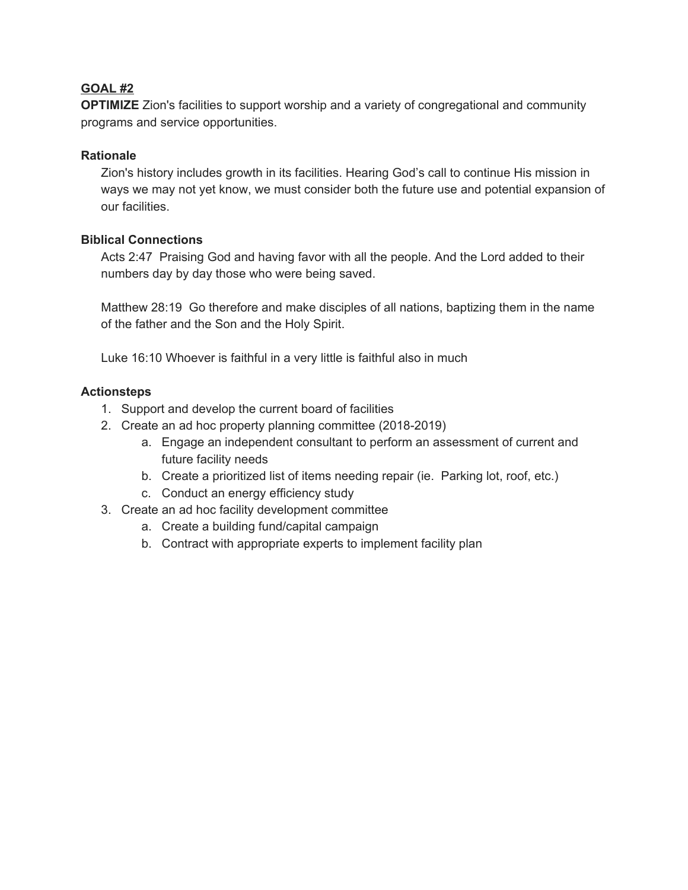# **GOAL #2**

**OPTIMIZE** Zion's facilities to support worship and a variety of congregational and community programs and service opportunities.

# **Rationale**

Zion's history includes growth in its facilities. Hearing God's call to continue His mission in ways we may not yet know, we must consider both the future use and potential expansion of our facilities.

# **Biblical Connections**

Acts 2:47 Praising God and having favor with all the people. And the Lord added to their numbers day by day those who were being saved.

Matthew 28:19 Go therefore and make disciples of all nations, baptizing them in the name of the father and the Son and the Holy Spirit.

Luke 16:10 Whoever is faithful in a very little is faithful also in much

# **Actionsteps**

- 1. Support and develop the current board of facilities
- 2. Create an ad hoc property planning committee (2018-2019)
	- a. Engage an independent consultant to perform an assessment of current and future facility needs
	- b. Create a prioritized list of items needing repair (ie. Parking lot, roof, etc.)
	- c. Conduct an energy efficiency study
- 3. Create an ad hoc facility development committee
	- a. Create a building fund/capital campaign
	- b. Contract with appropriate experts to implement facility plan